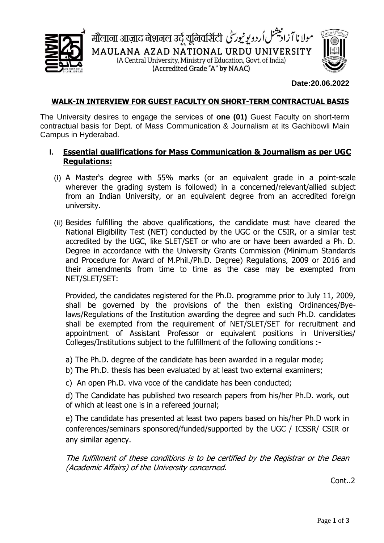



#### **Date:20.06.2022**

#### **WALK-IN INTERVIEW FOR GUEST FACULTY ON SHORT-TERM CONTRACTUAL BASIS**

The University desires to engage the services of **one (01)** Guest Faculty on short-term contractual basis for Dept. of Mass Communication & Journalism at its Gachibowli Main Campus in Hyderabad.

## **I. Essential qualifications for Mass Communication & Journalism as per UGC Regulations:**

- (i) A Master's degree with 55% marks (or an equivalent grade in a point-scale wherever the grading system is followed) in a concerned/relevant/allied subject from an Indian University, or an equivalent degree from an accredited foreign university.
- (ii) Besides fulfilling the above qualifications, the candidate must have cleared the National Eligibility Test (NET) conducted by the UGC or the CSIR, or a similar test accredited by the UGC, like SLET/SET or who are or have been awarded a Ph. D. Degree in accordance with the University Grants Commission (Minimum Standards and Procedure for Award of M.Phil./Ph.D. Degree) Regulations, 2009 or 2016 and their amendments from time to time as the case may be exempted from NET/SLET/SET:

Provided, the candidates registered for the Ph.D. programme prior to July 11, 2009, shall be governed by the provisions of the then existing Ordinances/Byelaws/Regulations of the Institution awarding the degree and such Ph.D. candidates shall be exempted from the requirement of NET/SLET/SET for recruitment and appointment of Assistant Professor or equivalent positions in Universities/ Colleges/Institutions subject to the fulfillment of the following conditions :-

a) The Ph.D. degree of the candidate has been awarded in a regular mode;

b) The Ph.D. thesis has been evaluated by at least two external examiners;

c) An open Ph.D. viva voce of the candidate has been conducted;

d) The Candidate has published two research papers from his/her Ph.D. work, out of which at least one is in a refereed journal;

e) The candidate has presented at least two papers based on his/her Ph.D work in conferences/seminars sponsored/funded/supported by the UGC / ICSSR/ CSIR or any similar agency.

The fulfillment of these conditions is to be certified by the Registrar or the Dean (Academic Affairs) of the University concerned.

Cont..2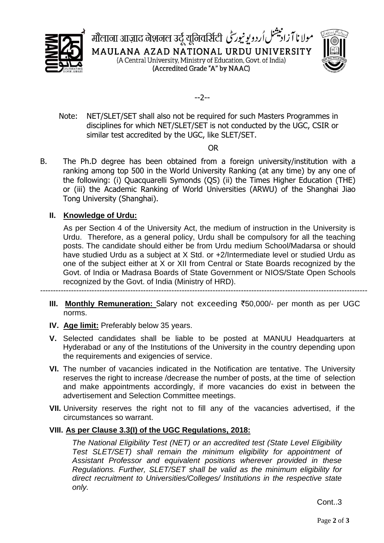





 Note: NET/SLET/SET shall also not be required for such Masters Programmes in disciplines for which NET/SLET/SET is not conducted by the UGC, CSIR or similar test accredited by the UGC, like SLET/SET.

OR

B. The Ph.D degree has been obtained from a foreign university/institution with a ranking among top 500 in the World University Ranking (at any time) by any one of the following: (i) Quacquarelli Symonds (QS) (ii) the Times Higher Education (THE) or (iii) the Academic Ranking of World Universities (ARWU) of the Shanghai Jiao Tong University (Shanghai).

# **II. Knowledge of Urdu:**

As per Section 4 of the University Act, the medium of instruction in the University is Urdu. Therefore, as a general policy, Urdu shall be compulsory for all the teaching posts. The candidate should either be from Urdu medium School/Madarsa or should have studied Urdu as a subject at X Std. or +2/Intermediate level or studied Urdu as one of the subject either at X or XII from Central or State Boards recognized by the Govt. of India or Madrasa Boards of State Government or NIOS/State Open Schools recognized by the Govt. of India (Ministry of HRD).

-------------------------------------------------------------------------------------------------------------------------------

- **III. Monthly Remuneration:** Salary not exceeding ₹50,000/- per month as per UGC norms.
- **IV. Age limit:** Preferably below 35 years.
- **V.** Selected candidates shall be liable to be posted at MANUU Headquarters at Hyderabad or any of the Institutions of the University in the country depending upon the requirements and exigencies of service.
- **VI.** The number of vacancies indicated in the Notification are tentative. The University reserves the right to increase /decrease the number of posts, at the time of selection and make appointments accordingly, if more vacancies do exist in between the advertisement and Selection Committee meetings.
- **VII.** University reserves the right not to fill any of the vacancies advertised, if the circumstances so warrant.

# **VIII. As per Clause 3.3(I) of the UGC Regulations, 2018:**

*The National Eligibility Test (NET) or an accredited test (State Level Eligibility Test SLET/SET) shall remain the minimum eligibility for appointment of Assistant Professor and equivalent positions wherever provided in these Regulations. Further, SLET/SET shall be valid as the minimum eligibility for direct recruitment to Universities/Colleges/ Institutions in the respective state only.*

Cont..3